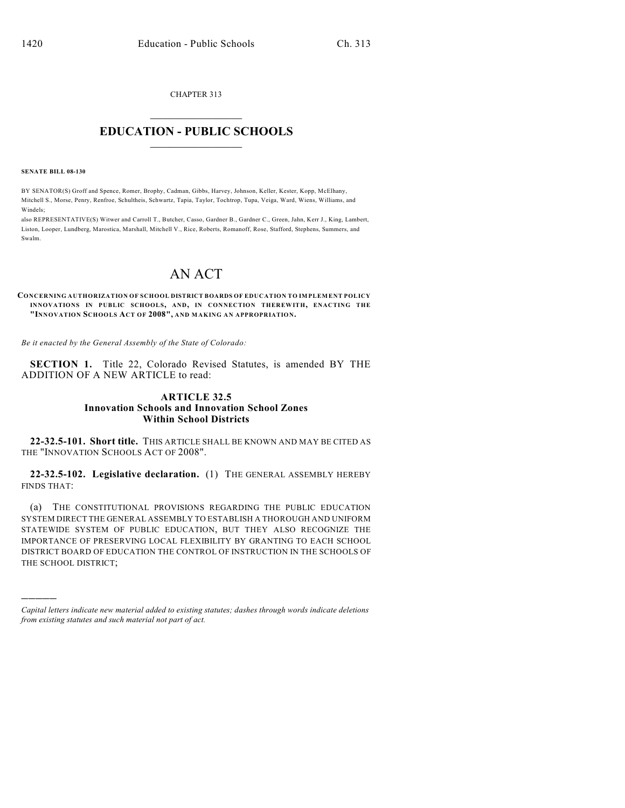CHAPTER 313

## $\mathcal{L}_\text{max}$  . The set of the set of the set of the set of the set of the set of the set of the set of the set of the set of the set of the set of the set of the set of the set of the set of the set of the set of the set **EDUCATION - PUBLIC SCHOOLS**  $\_$   $\_$   $\_$   $\_$   $\_$   $\_$   $\_$   $\_$   $\_$

**SENATE BILL 08-130**

)))))

BY SENATOR(S) Groff and Spence, Romer, Brophy, Cadman, Gibbs, Harvey, Johnson, Keller, Kester, Kopp, McElhany, Mitchell S., Morse, Penry, Renfroe, Schultheis, Schwartz, Tapia, Taylor, Tochtrop, Tupa, Veiga, Ward, Wiens, Williams, and Windels;

also REPRESENTATIVE(S) Witwer and Carroll T., Butcher, Casso, Gardner B., Gardner C., Green, Jahn, Kerr J., King, Lambert, Liston, Looper, Lundberg, Marostica, Marshall, Mitchell V., Rice, Roberts, Romanoff, Rose, Stafford, Stephens, Summers, and Swalm.

## AN ACT

**CONCERNING AUTHORIZATION OF SCHOOL DISTRICT BOARDS OF EDUCATION TO IMPLEMENT POLICY INNOVATIONS IN PUBLIC SCHOOLS, AND, IN CONNECTION THEREWITH, ENACTING THE "INNOVATION SCHOOLS ACT OF 2008", AND MAKING AN APPROPRIATION.**

*Be it enacted by the General Assembly of the State of Colorado:*

**SECTION 1.** Title 22, Colorado Revised Statutes, is amended BY THE ADDITION OF A NEW ARTICLE to read:

## **ARTICLE 32.5 Innovation Schools and Innovation School Zones Within School Districts**

**22-32.5-101. Short title.** THIS ARTICLE SHALL BE KNOWN AND MAY BE CITED AS THE "INNOVATION SCHOOLS ACT OF 2008".

**22-32.5-102. Legislative declaration.** (1) THE GENERAL ASSEMBLY HEREBY FINDS THAT:

(a) THE CONSTITUTIONAL PROVISIONS REGARDING THE PUBLIC EDUCATION SYSTEM DIRECT THE GENERAL ASSEMBLY TO ESTABLISH A THOROUGH AND UNIFORM STATEWIDE SYSTEM OF PUBLIC EDUCATION, BUT THEY ALSO RECOGNIZE THE IMPORTANCE OF PRESERVING LOCAL FLEXIBILITY BY GRANTING TO EACH SCHOOL DISTRICT BOARD OF EDUCATION THE CONTROL OF INSTRUCTION IN THE SCHOOLS OF THE SCHOOL DISTRICT;

*Capital letters indicate new material added to existing statutes; dashes through words indicate deletions from existing statutes and such material not part of act.*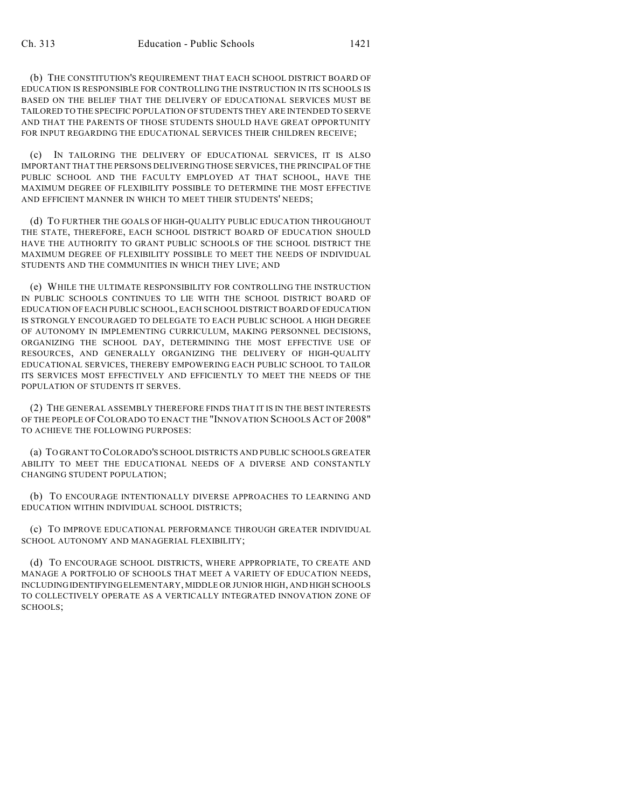(b) THE CONSTITUTION'S REQUIREMENT THAT EACH SCHOOL DISTRICT BOARD OF EDUCATION IS RESPONSIBLE FOR CONTROLLING THE INSTRUCTION IN ITS SCHOOLS IS BASED ON THE BELIEF THAT THE DELIVERY OF EDUCATIONAL SERVICES MUST BE TAILORED TO THE SPECIFIC POPULATION OF STUDENTS THEY ARE INTENDED TO SERVE AND THAT THE PARENTS OF THOSE STUDENTS SHOULD HAVE GREAT OPPORTUNITY FOR INPUT REGARDING THE EDUCATIONAL SERVICES THEIR CHILDREN RECEIVE;

(c) IN TAILORING THE DELIVERY OF EDUCATIONAL SERVICES, IT IS ALSO IMPORTANT THAT THE PERSONS DELIVERING THOSE SERVICES, THE PRINCIPAL OF THE PUBLIC SCHOOL AND THE FACULTY EMPLOYED AT THAT SCHOOL, HAVE THE MAXIMUM DEGREE OF FLEXIBILITY POSSIBLE TO DETERMINE THE MOST EFFECTIVE AND EFFICIENT MANNER IN WHICH TO MEET THEIR STUDENTS' NEEDS;

(d) TO FURTHER THE GOALS OF HIGH-QUALITY PUBLIC EDUCATION THROUGHOUT THE STATE, THEREFORE, EACH SCHOOL DISTRICT BOARD OF EDUCATION SHOULD HAVE THE AUTHORITY TO GRANT PUBLIC SCHOOLS OF THE SCHOOL DISTRICT THE MAXIMUM DEGREE OF FLEXIBILITY POSSIBLE TO MEET THE NEEDS OF INDIVIDUAL STUDENTS AND THE COMMUNITIES IN WHICH THEY LIVE; AND

(e) WHILE THE ULTIMATE RESPONSIBILITY FOR CONTROLLING THE INSTRUCTION IN PUBLIC SCHOOLS CONTINUES TO LIE WITH THE SCHOOL DISTRICT BOARD OF EDUCATION OF EACH PUBLIC SCHOOL, EACH SCHOOL DISTRICT BOARD OF EDUCATION IS STRONGLY ENCOURAGED TO DELEGATE TO EACH PUBLIC SCHOOL A HIGH DEGREE OF AUTONOMY IN IMPLEMENTING CURRICULUM, MAKING PERSONNEL DECISIONS, ORGANIZING THE SCHOOL DAY, DETERMINING THE MOST EFFECTIVE USE OF RESOURCES, AND GENERALLY ORGANIZING THE DELIVERY OF HIGH-QUALITY EDUCATIONAL SERVICES, THEREBY EMPOWERING EACH PUBLIC SCHOOL TO TAILOR ITS SERVICES MOST EFFECTIVELY AND EFFICIENTLY TO MEET THE NEEDS OF THE POPULATION OF STUDENTS IT SERVES.

(2) THE GENERAL ASSEMBLY THEREFORE FINDS THAT IT IS IN THE BEST INTERESTS OF THE PEOPLE OF COLORADO TO ENACT THE "INNOVATION SCHOOLS ACT OF 2008" TO ACHIEVE THE FOLLOWING PURPOSES:

(a) TO GRANT TO COLORADO'S SCHOOL DISTRICTS AND PUBLIC SCHOOLS GREATER ABILITY TO MEET THE EDUCATIONAL NEEDS OF A DIVERSE AND CONSTANTLY CHANGING STUDENT POPULATION;

(b) TO ENCOURAGE INTENTIONALLY DIVERSE APPROACHES TO LEARNING AND EDUCATION WITHIN INDIVIDUAL SCHOOL DISTRICTS;

(c) TO IMPROVE EDUCATIONAL PERFORMANCE THROUGH GREATER INDIVIDUAL SCHOOL AUTONOMY AND MANAGERIAL FLEXIBILITY;

(d) TO ENCOURAGE SCHOOL DISTRICTS, WHERE APPROPRIATE, TO CREATE AND MANAGE A PORTFOLIO OF SCHOOLS THAT MEET A VARIETY OF EDUCATION NEEDS, INCLUDING IDENTIFYING ELEMENTARY, MIDDLE OR JUNIOR HIGH, AND HIGH SCHOOLS TO COLLECTIVELY OPERATE AS A VERTICALLY INTEGRATED INNOVATION ZONE OF SCHOOLS;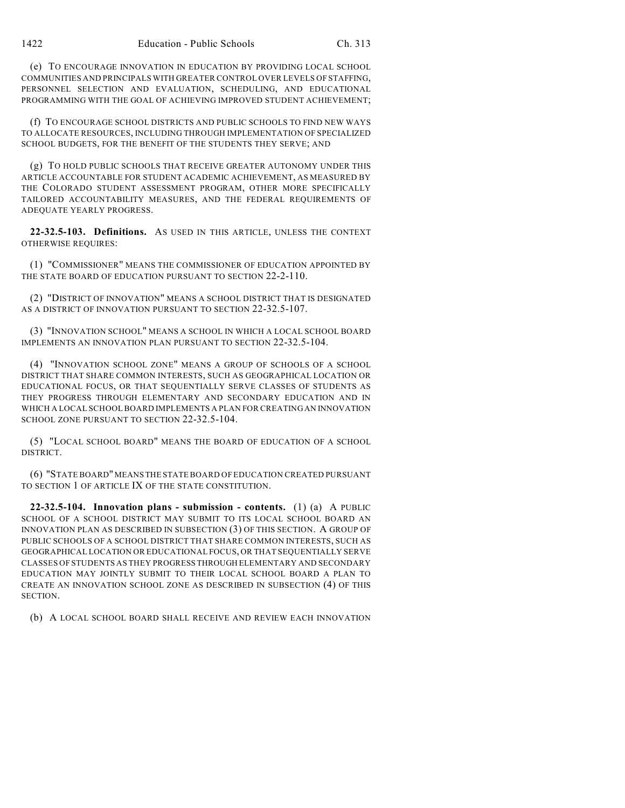(e) TO ENCOURAGE INNOVATION IN EDUCATION BY PROVIDING LOCAL SCHOOL COMMUNITIES AND PRINCIPALS WITH GREATER CONTROL OVER LEVELS OF STAFFING, PERSONNEL SELECTION AND EVALUATION, SCHEDULING, AND EDUCATIONAL PROGRAMMING WITH THE GOAL OF ACHIEVING IMPROVED STUDENT ACHIEVEMENT;

(f) TO ENCOURAGE SCHOOL DISTRICTS AND PUBLIC SCHOOLS TO FIND NEW WAYS TO ALLOCATE RESOURCES, INCLUDING THROUGH IMPLEMENTATION OF SPECIALIZED SCHOOL BUDGETS, FOR THE BENEFIT OF THE STUDENTS THEY SERVE; AND

(g) TO HOLD PUBLIC SCHOOLS THAT RECEIVE GREATER AUTONOMY UNDER THIS ARTICLE ACCOUNTABLE FOR STUDENT ACADEMIC ACHIEVEMENT, AS MEASURED BY THE COLORADO STUDENT ASSESSMENT PROGRAM, OTHER MORE SPECIFICALLY TAILORED ACCOUNTABILITY MEASURES, AND THE FEDERAL REQUIREMENTS OF ADEQUATE YEARLY PROGRESS.

**22-32.5-103. Definitions.** AS USED IN THIS ARTICLE, UNLESS THE CONTEXT OTHERWISE REQUIRES:

(1) "COMMISSIONER" MEANS THE COMMISSIONER OF EDUCATION APPOINTED BY THE STATE BOARD OF EDUCATION PURSUANT TO SECTION 22-2-110.

(2) "DISTRICT OF INNOVATION" MEANS A SCHOOL DISTRICT THAT IS DESIGNATED AS A DISTRICT OF INNOVATION PURSUANT TO SECTION 22-32.5-107.

(3) "INNOVATION SCHOOL" MEANS A SCHOOL IN WHICH A LOCAL SCHOOL BOARD IMPLEMENTS AN INNOVATION PLAN PURSUANT TO SECTION 22-32.5-104.

(4) "INNOVATION SCHOOL ZONE" MEANS A GROUP OF SCHOOLS OF A SCHOOL DISTRICT THAT SHARE COMMON INTERESTS, SUCH AS GEOGRAPHICAL LOCATION OR EDUCATIONAL FOCUS, OR THAT SEQUENTIALLY SERVE CLASSES OF STUDENTS AS THEY PROGRESS THROUGH ELEMENTARY AND SECONDARY EDUCATION AND IN WHICH A LOCAL SCHOOL BOARD IMPLEMENTS A PLAN FOR CREATING AN INNOVATION SCHOOL ZONE PURSUANT TO SECTION 22-32.5-104.

(5) "LOCAL SCHOOL BOARD" MEANS THE BOARD OF EDUCATION OF A SCHOOL DISTRICT.

(6) "STATE BOARD" MEANS THE STATE BOARD OF EDUCATION CREATED PURSUANT TO SECTION 1 OF ARTICLE IX OF THE STATE CONSTITUTION.

**22-32.5-104. Innovation plans - submission - contents.** (1) (a) A PUBLIC SCHOOL OF A SCHOOL DISTRICT MAY SUBMIT TO ITS LOCAL SCHOOL BOARD AN INNOVATION PLAN AS DESCRIBED IN SUBSECTION (3) OF THIS SECTION. A GROUP OF PUBLIC SCHOOLS OF A SCHOOL DISTRICT THAT SHARE COMMON INTERESTS, SUCH AS GEOGRAPHICAL LOCATION OR EDUCATIONAL FOCUS, OR THAT SEQUENTIALLY SERVE CLASSES OF STUDENTS AS THEY PROGRESS THROUGH ELEMENTARY AND SECONDARY EDUCATION MAY JOINTLY SUBMIT TO THEIR LOCAL SCHOOL BOARD A PLAN TO CREATE AN INNOVATION SCHOOL ZONE AS DESCRIBED IN SUBSECTION (4) OF THIS SECTION.

(b) A LOCAL SCHOOL BOARD SHALL RECEIVE AND REVIEW EACH INNOVATION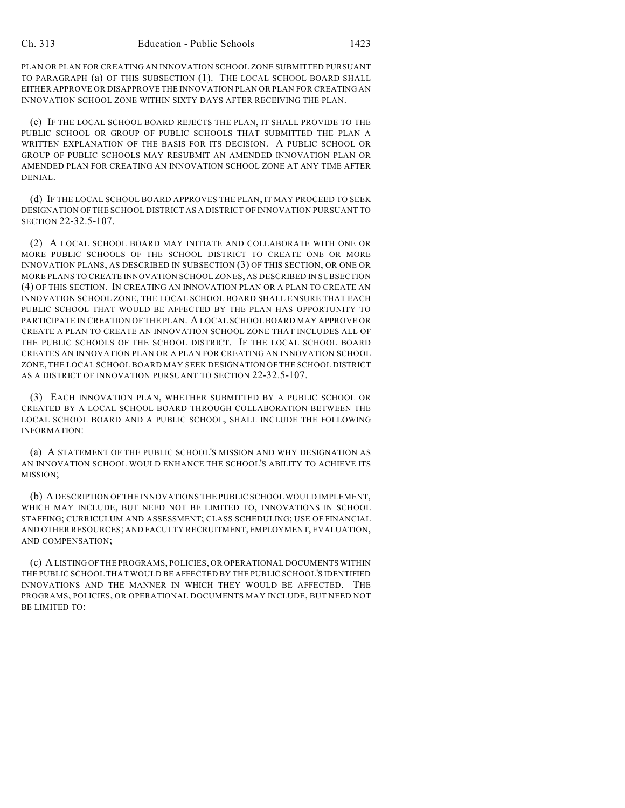PLAN OR PLAN FOR CREATING AN INNOVATION SCHOOL ZONE SUBMITTED PURSUANT TO PARAGRAPH (a) OF THIS SUBSECTION (1). THE LOCAL SCHOOL BOARD SHALL EITHER APPROVE OR DISAPPROVE THE INNOVATION PLAN OR PLAN FOR CREATING AN INNOVATION SCHOOL ZONE WITHIN SIXTY DAYS AFTER RECEIVING THE PLAN.

(c) IF THE LOCAL SCHOOL BOARD REJECTS THE PLAN, IT SHALL PROVIDE TO THE PUBLIC SCHOOL OR GROUP OF PUBLIC SCHOOLS THAT SUBMITTED THE PLAN A WRITTEN EXPLANATION OF THE BASIS FOR ITS DECISION. A PUBLIC SCHOOL OR GROUP OF PUBLIC SCHOOLS MAY RESUBMIT AN AMENDED INNOVATION PLAN OR AMENDED PLAN FOR CREATING AN INNOVATION SCHOOL ZONE AT ANY TIME AFTER DENIAL.

(d) IF THE LOCAL SCHOOL BOARD APPROVES THE PLAN, IT MAY PROCEED TO SEEK DESIGNATION OFTHE SCHOOL DISTRICT AS A DISTRICT OF INNOVATION PURSUANT TO SECTION 22-32.5-107.

(2) A LOCAL SCHOOL BOARD MAY INITIATE AND COLLABORATE WITH ONE OR MORE PUBLIC SCHOOLS OF THE SCHOOL DISTRICT TO CREATE ONE OR MORE INNOVATION PLANS, AS DESCRIBED IN SUBSECTION (3) OF THIS SECTION, OR ONE OR MORE PLANS TO CREATE INNOVATION SCHOOL ZONES, AS DESCRIBED IN SUBSECTION (4) OF THIS SECTION. IN CREATING AN INNOVATION PLAN OR A PLAN TO CREATE AN INNOVATION SCHOOL ZONE, THE LOCAL SCHOOL BOARD SHALL ENSURE THAT EACH PUBLIC SCHOOL THAT WOULD BE AFFECTED BY THE PLAN HAS OPPORTUNITY TO PARTICIPATE IN CREATION OF THE PLAN. A LOCAL SCHOOL BOARD MAY APPROVE OR CREATE A PLAN TO CREATE AN INNOVATION SCHOOL ZONE THAT INCLUDES ALL OF THE PUBLIC SCHOOLS OF THE SCHOOL DISTRICT. IF THE LOCAL SCHOOL BOARD CREATES AN INNOVATION PLAN OR A PLAN FOR CREATING AN INNOVATION SCHOOL ZONE, THE LOCAL SCHOOL BOARD MAY SEEK DESIGNATION OF THE SCHOOL DISTRICT AS A DISTRICT OF INNOVATION PURSUANT TO SECTION 22-32.5-107.

(3) EACH INNOVATION PLAN, WHETHER SUBMITTED BY A PUBLIC SCHOOL OR CREATED BY A LOCAL SCHOOL BOARD THROUGH COLLABORATION BETWEEN THE LOCAL SCHOOL BOARD AND A PUBLIC SCHOOL, SHALL INCLUDE THE FOLLOWING INFORMATION:

(a) A STATEMENT OF THE PUBLIC SCHOOL'S MISSION AND WHY DESIGNATION AS AN INNOVATION SCHOOL WOULD ENHANCE THE SCHOOL'S ABILITY TO ACHIEVE ITS MISSION;

(b) A DESCRIPTION OF THE INNOVATIONS THE PUBLIC SCHOOL WOULD IMPLEMENT, WHICH MAY INCLUDE, BUT NEED NOT BE LIMITED TO, INNOVATIONS IN SCHOOL STAFFING; CURRICULUM AND ASSESSMENT; CLASS SCHEDULING; USE OF FINANCIAL AND OTHER RESOURCES; AND FACULTY RECRUITMENT, EMPLOYMENT, EVALUATION, AND COMPENSATION;

(c) A LISTING OF THE PROGRAMS, POLICIES, OR OPERATIONAL DOCUMENTS WITHIN THE PUBLIC SCHOOL THAT WOULD BE AFFECTED BY THE PUBLIC SCHOOL'S IDENTIFIED INNOVATIONS AND THE MANNER IN WHICH THEY WOULD BE AFFECTED. THE PROGRAMS, POLICIES, OR OPERATIONAL DOCUMENTS MAY INCLUDE, BUT NEED NOT BE LIMITED TO: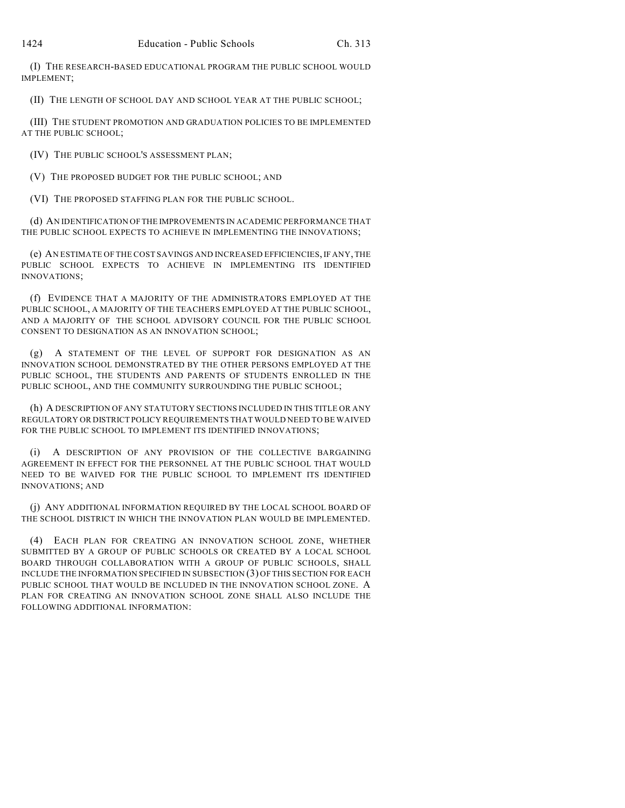(I) THE RESEARCH-BASED EDUCATIONAL PROGRAM THE PUBLIC SCHOOL WOULD IMPLEMENT;

(II) THE LENGTH OF SCHOOL DAY AND SCHOOL YEAR AT THE PUBLIC SCHOOL;

(III) THE STUDENT PROMOTION AND GRADUATION POLICIES TO BE IMPLEMENTED AT THE PUBLIC SCHOOL;

(IV) THE PUBLIC SCHOOL'S ASSESSMENT PLAN;

(V) THE PROPOSED BUDGET FOR THE PUBLIC SCHOOL; AND

(VI) THE PROPOSED STAFFING PLAN FOR THE PUBLIC SCHOOL.

(d) AN IDENTIFICATION OF THE IMPROVEMENTS IN ACADEMIC PERFORMANCE THAT THE PUBLIC SCHOOL EXPECTS TO ACHIEVE IN IMPLEMENTING THE INNOVATIONS;

(e) AN ESTIMATE OF THE COST SAVINGS AND INCREASED EFFICIENCIES, IF ANY, THE PUBLIC SCHOOL EXPECTS TO ACHIEVE IN IMPLEMENTING ITS IDENTIFIED INNOVATIONS;

(f) EVIDENCE THAT A MAJORITY OF THE ADMINISTRATORS EMPLOYED AT THE PUBLIC SCHOOL, A MAJORITY OF THE TEACHERS EMPLOYED AT THE PUBLIC SCHOOL, AND A MAJORITY OF THE SCHOOL ADVISORY COUNCIL FOR THE PUBLIC SCHOOL CONSENT TO DESIGNATION AS AN INNOVATION SCHOOL;

(g) A STATEMENT OF THE LEVEL OF SUPPORT FOR DESIGNATION AS AN INNOVATION SCHOOL DEMONSTRATED BY THE OTHER PERSONS EMPLOYED AT THE PUBLIC SCHOOL, THE STUDENTS AND PARENTS OF STUDENTS ENROLLED IN THE PUBLIC SCHOOL, AND THE COMMUNITY SURROUNDING THE PUBLIC SCHOOL;

(h) A DESCRIPTION OF ANY STATUTORY SECTIONS INCLUDED IN THIS TITLE OR ANY REGULATORY OR DISTRICT POLICY REQUIREMENTS THAT WOULD NEED TO BE WAIVED FOR THE PUBLIC SCHOOL TO IMPLEMENT ITS IDENTIFIED INNOVATIONS;

(i) A DESCRIPTION OF ANY PROVISION OF THE COLLECTIVE BARGAINING AGREEMENT IN EFFECT FOR THE PERSONNEL AT THE PUBLIC SCHOOL THAT WOULD NEED TO BE WAIVED FOR THE PUBLIC SCHOOL TO IMPLEMENT ITS IDENTIFIED INNOVATIONS; AND

(j) ANY ADDITIONAL INFORMATION REQUIRED BY THE LOCAL SCHOOL BOARD OF THE SCHOOL DISTRICT IN WHICH THE INNOVATION PLAN WOULD BE IMPLEMENTED.

(4) EACH PLAN FOR CREATING AN INNOVATION SCHOOL ZONE, WHETHER SUBMITTED BY A GROUP OF PUBLIC SCHOOLS OR CREATED BY A LOCAL SCHOOL BOARD THROUGH COLLABORATION WITH A GROUP OF PUBLIC SCHOOLS, SHALL INCLUDE THE INFORMATION SPECIFIED IN SUBSECTION (3) OFTHIS SECTION FOR EACH PUBLIC SCHOOL THAT WOULD BE INCLUDED IN THE INNOVATION SCHOOL ZONE. A PLAN FOR CREATING AN INNOVATION SCHOOL ZONE SHALL ALSO INCLUDE THE FOLLOWING ADDITIONAL INFORMATION: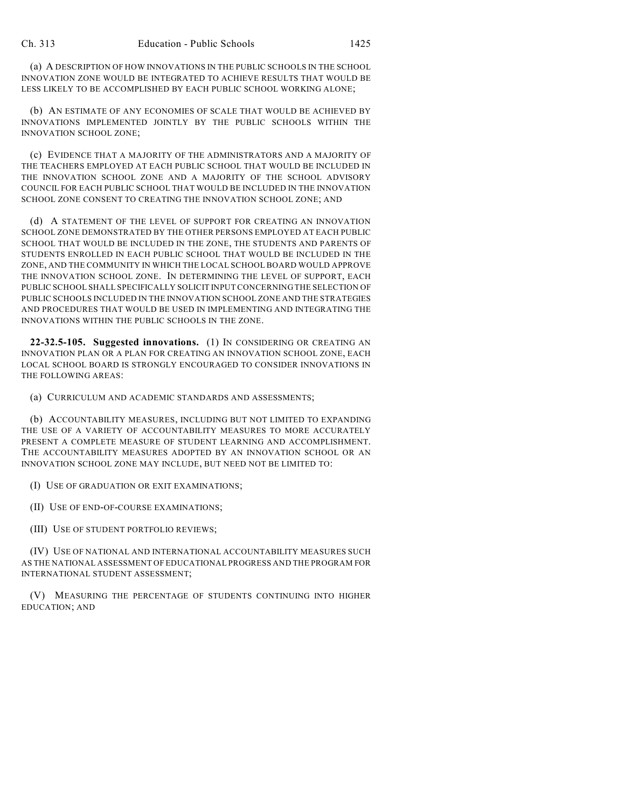(a) A DESCRIPTION OF HOW INNOVATIONS IN THE PUBLIC SCHOOLS IN THE SCHOOL INNOVATION ZONE WOULD BE INTEGRATED TO ACHIEVE RESULTS THAT WOULD BE LESS LIKELY TO BE ACCOMPLISHED BY EACH PUBLIC SCHOOL WORKING ALONE;

(b) AN ESTIMATE OF ANY ECONOMIES OF SCALE THAT WOULD BE ACHIEVED BY INNOVATIONS IMPLEMENTED JOINTLY BY THE PUBLIC SCHOOLS WITHIN THE INNOVATION SCHOOL ZONE;

(c) EVIDENCE THAT A MAJORITY OF THE ADMINISTRATORS AND A MAJORITY OF THE TEACHERS EMPLOYED AT EACH PUBLIC SCHOOL THAT WOULD BE INCLUDED IN THE INNOVATION SCHOOL ZONE AND A MAJORITY OF THE SCHOOL ADVISORY COUNCIL FOR EACH PUBLIC SCHOOL THAT WOULD BE INCLUDED IN THE INNOVATION SCHOOL ZONE CONSENT TO CREATING THE INNOVATION SCHOOL ZONE; AND

(d) A STATEMENT OF THE LEVEL OF SUPPORT FOR CREATING AN INNOVATION SCHOOL ZONE DEMONSTRATED BY THE OTHER PERSONS EMPLOYED AT EACH PUBLIC SCHOOL THAT WOULD BE INCLUDED IN THE ZONE, THE STUDENTS AND PARENTS OF STUDENTS ENROLLED IN EACH PUBLIC SCHOOL THAT WOULD BE INCLUDED IN THE ZONE, AND THE COMMUNITY IN WHICH THE LOCAL SCHOOL BOARD WOULD APPROVE THE INNOVATION SCHOOL ZONE. IN DETERMINING THE LEVEL OF SUPPORT, EACH PUBLIC SCHOOL SHALL SPECIFICALLY SOLICIT INPUT CONCERNING THE SELECTION OF PUBLIC SCHOOLS INCLUDED IN THE INNOVATION SCHOOL ZONE AND THE STRATEGIES AND PROCEDURES THAT WOULD BE USED IN IMPLEMENTING AND INTEGRATING THE INNOVATIONS WITHIN THE PUBLIC SCHOOLS IN THE ZONE.

**22-32.5-105. Suggested innovations.** (1) IN CONSIDERING OR CREATING AN INNOVATION PLAN OR A PLAN FOR CREATING AN INNOVATION SCHOOL ZONE, EACH LOCAL SCHOOL BOARD IS STRONGLY ENCOURAGED TO CONSIDER INNOVATIONS IN THE FOLLOWING AREAS:

(a) CURRICULUM AND ACADEMIC STANDARDS AND ASSESSMENTS;

(b) ACCOUNTABILITY MEASURES, INCLUDING BUT NOT LIMITED TO EXPANDING THE USE OF A VARIETY OF ACCOUNTABILITY MEASURES TO MORE ACCURATELY PRESENT A COMPLETE MEASURE OF STUDENT LEARNING AND ACCOMPLISHMENT. THE ACCOUNTABILITY MEASURES ADOPTED BY AN INNOVATION SCHOOL OR AN INNOVATION SCHOOL ZONE MAY INCLUDE, BUT NEED NOT BE LIMITED TO:

(I) USE OF GRADUATION OR EXIT EXAMINATIONS;

(II) USE OF END-OF-COURSE EXAMINATIONS;

(III) USE OF STUDENT PORTFOLIO REVIEWS;

(IV) USE OF NATIONAL AND INTERNATIONAL ACCOUNTABILITY MEASURES SUCH AS THE NATIONAL ASSESSMENT OF EDUCATIONAL PROGRESS AND THE PROGRAM FOR INTERNATIONAL STUDENT ASSESSMENT;

(V) MEASURING THE PERCENTAGE OF STUDENTS CONTINUING INTO HIGHER EDUCATION; AND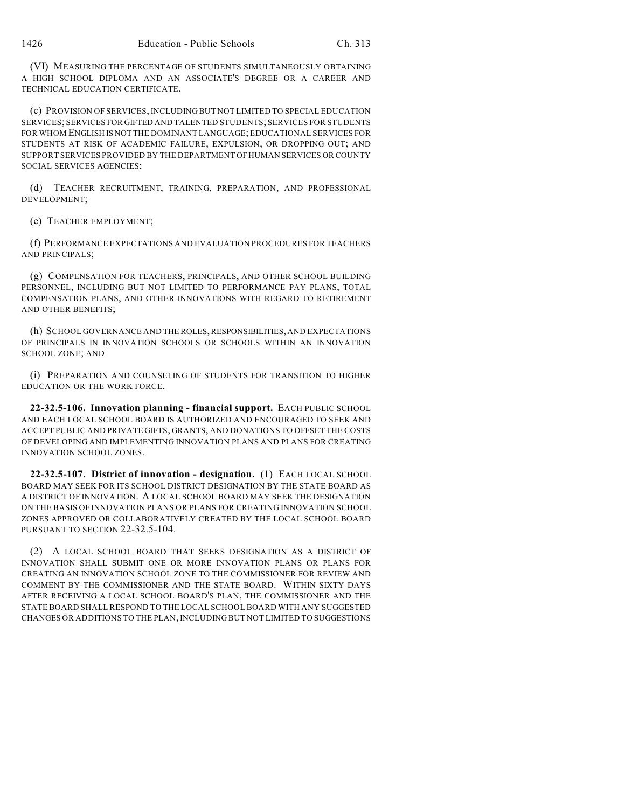(VI) MEASURING THE PERCENTAGE OF STUDENTS SIMULTANEOUSLY OBTAINING A HIGH SCHOOL DIPLOMA AND AN ASSOCIATE'S DEGREE OR A CAREER AND TECHNICAL EDUCATION CERTIFICATE.

(c) PROVISION OF SERVICES, INCLUDING BUT NOT LIMITED TO SPECIAL EDUCATION SERVICES; SERVICES FOR GIFTED AND TALENTED STUDENTS; SERVICES FOR STUDENTS FOR WHOM ENGLISH IS NOT THE DOMINANT LANGUAGE; EDUCATIONAL SERVICES FOR STUDENTS AT RISK OF ACADEMIC FAILURE, EXPULSION, OR DROPPING OUT; AND SUPPORT SERVICES PROVIDED BY THE DEPARTMENT OF HUMAN SERVICES OR COUNTY SOCIAL SERVICES AGENCIES;

(d) TEACHER RECRUITMENT, TRAINING, PREPARATION, AND PROFESSIONAL DEVELOPMENT;

(e) TEACHER EMPLOYMENT;

(f) PERFORMANCE EXPECTATIONS AND EVALUATION PROCEDURES FOR TEACHERS AND PRINCIPALS;

(g) COMPENSATION FOR TEACHERS, PRINCIPALS, AND OTHER SCHOOL BUILDING PERSONNEL, INCLUDING BUT NOT LIMITED TO PERFORMANCE PAY PLANS, TOTAL COMPENSATION PLANS, AND OTHER INNOVATIONS WITH REGARD TO RETIREMENT AND OTHER BENEFITS;

(h) SCHOOL GOVERNANCE AND THE ROLES, RESPONSIBILITIES, AND EXPECTATIONS OF PRINCIPALS IN INNOVATION SCHOOLS OR SCHOOLS WITHIN AN INNOVATION SCHOOL ZONE; AND

(i) PREPARATION AND COUNSELING OF STUDENTS FOR TRANSITION TO HIGHER EDUCATION OR THE WORK FORCE.

**22-32.5-106. Innovation planning - financial support.** EACH PUBLIC SCHOOL AND EACH LOCAL SCHOOL BOARD IS AUTHORIZED AND ENCOURAGED TO SEEK AND ACCEPT PUBLIC AND PRIVATE GIFTS, GRANTS, AND DONATIONS TO OFFSET THE COSTS OF DEVELOPING AND IMPLEMENTING INNOVATION PLANS AND PLANS FOR CREATING INNOVATION SCHOOL ZONES.

**22-32.5-107. District of innovation - designation.** (1) EACH LOCAL SCHOOL BOARD MAY SEEK FOR ITS SCHOOL DISTRICT DESIGNATION BY THE STATE BOARD AS A DISTRICT OF INNOVATION. A LOCAL SCHOOL BOARD MAY SEEK THE DESIGNATION ON THE BASIS OF INNOVATION PLANS OR PLANS FOR CREATING INNOVATION SCHOOL ZONES APPROVED OR COLLABORATIVELY CREATED BY THE LOCAL SCHOOL BOARD PURSUANT TO SECTION 22-32.5-104.

(2) A LOCAL SCHOOL BOARD THAT SEEKS DESIGNATION AS A DISTRICT OF INNOVATION SHALL SUBMIT ONE OR MORE INNOVATION PLANS OR PLANS FOR CREATING AN INNOVATION SCHOOL ZONE TO THE COMMISSIONER FOR REVIEW AND COMMENT BY THE COMMISSIONER AND THE STATE BOARD. WITHIN SIXTY DAYS AFTER RECEIVING A LOCAL SCHOOL BOARD'S PLAN, THE COMMISSIONER AND THE STATE BOARD SHALL RESPOND TO THE LOCAL SCHOOL BOARD WITH ANY SUGGESTED CHANGES OR ADDITIONS TO THE PLAN, INCLUDING BUT NOT LIMITED TO SUGGESTIONS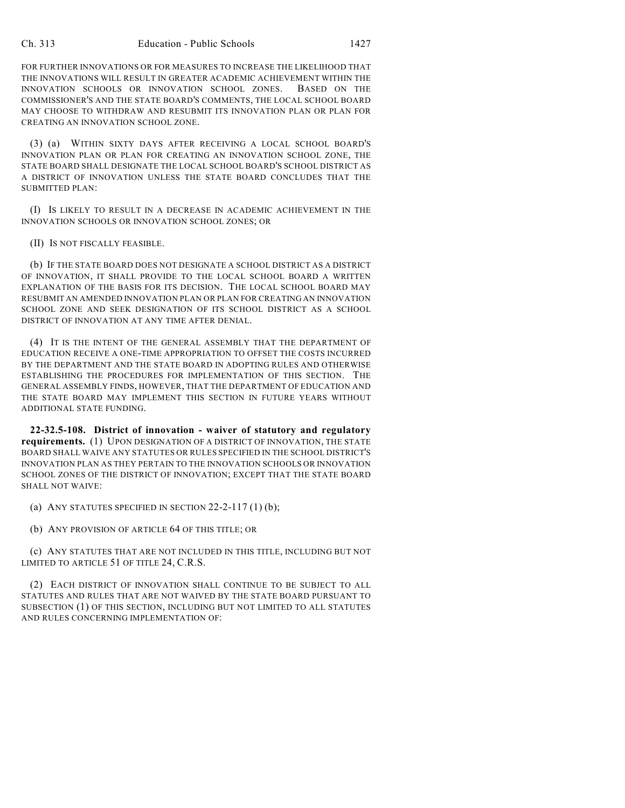FOR FURTHER INNOVATIONS OR FOR MEASURES TO INCREASE THE LIKELIHOOD THAT THE INNOVATIONS WILL RESULT IN GREATER ACADEMIC ACHIEVEMENT WITHIN THE INNOVATION SCHOOLS OR INNOVATION SCHOOL ZONES. BASED ON THE COMMISSIONER'S AND THE STATE BOARD'S COMMENTS, THE LOCAL SCHOOL BOARD MAY CHOOSE TO WITHDRAW AND RESUBMIT ITS INNOVATION PLAN OR PLAN FOR CREATING AN INNOVATION SCHOOL ZONE.

(3) (a) WITHIN SIXTY DAYS AFTER RECEIVING A LOCAL SCHOOL BOARD'S INNOVATION PLAN OR PLAN FOR CREATING AN INNOVATION SCHOOL ZONE, THE STATE BOARD SHALL DESIGNATE THE LOCAL SCHOOL BOARD'S SCHOOL DISTRICT AS A DISTRICT OF INNOVATION UNLESS THE STATE BOARD CONCLUDES THAT THE SUBMITTED PLAN:

(I) IS LIKELY TO RESULT IN A DECREASE IN ACADEMIC ACHIEVEMENT IN THE INNOVATION SCHOOLS OR INNOVATION SCHOOL ZONES; OR

(II) IS NOT FISCALLY FEASIBLE.

(b) IF THE STATE BOARD DOES NOT DESIGNATE A SCHOOL DISTRICT AS A DISTRICT OF INNOVATION, IT SHALL PROVIDE TO THE LOCAL SCHOOL BOARD A WRITTEN EXPLANATION OF THE BASIS FOR ITS DECISION. THE LOCAL SCHOOL BOARD MAY RESUBMIT AN AMENDED INNOVATION PLAN OR PLAN FOR CREATING AN INNOVATION SCHOOL ZONE AND SEEK DESIGNATION OF ITS SCHOOL DISTRICT AS A SCHOOL DISTRICT OF INNOVATION AT ANY TIME AFTER DENIAL.

(4) IT IS THE INTENT OF THE GENERAL ASSEMBLY THAT THE DEPARTMENT OF EDUCATION RECEIVE A ONE-TIME APPROPRIATION TO OFFSET THE COSTS INCURRED BY THE DEPARTMENT AND THE STATE BOARD IN ADOPTING RULES AND OTHERWISE ESTABLISHING THE PROCEDURES FOR IMPLEMENTATION OF THIS SECTION. THE GENERAL ASSEMBLY FINDS, HOWEVER, THAT THE DEPARTMENT OF EDUCATION AND THE STATE BOARD MAY IMPLEMENT THIS SECTION IN FUTURE YEARS WITHOUT ADDITIONAL STATE FUNDING.

**22-32.5-108. District of innovation - waiver of statutory and regulatory requirements.** (1) UPON DESIGNATION OF A DISTRICT OF INNOVATION, THE STATE BOARD SHALL WAIVE ANY STATUTES OR RULES SPECIFIED IN THE SCHOOL DISTRICT'S INNOVATION PLAN AS THEY PERTAIN TO THE INNOVATION SCHOOLS OR INNOVATION SCHOOL ZONES OF THE DISTRICT OF INNOVATION; EXCEPT THAT THE STATE BOARD SHALL NOT WAIVE:

(a) ANY STATUTES SPECIFIED IN SECTION  $22-2-117(1)$  (b);

(b) ANY PROVISION OF ARTICLE 64 OF THIS TITLE; OR

(c) ANY STATUTES THAT ARE NOT INCLUDED IN THIS TITLE, INCLUDING BUT NOT LIMITED TO ARTICLE 51 OF TITLE 24, C.R.S.

(2) EACH DISTRICT OF INNOVATION SHALL CONTINUE TO BE SUBJECT TO ALL STATUTES AND RULES THAT ARE NOT WAIVED BY THE STATE BOARD PURSUANT TO SUBSECTION (1) OF THIS SECTION, INCLUDING BUT NOT LIMITED TO ALL STATUTES AND RULES CONCERNING IMPLEMENTATION OF: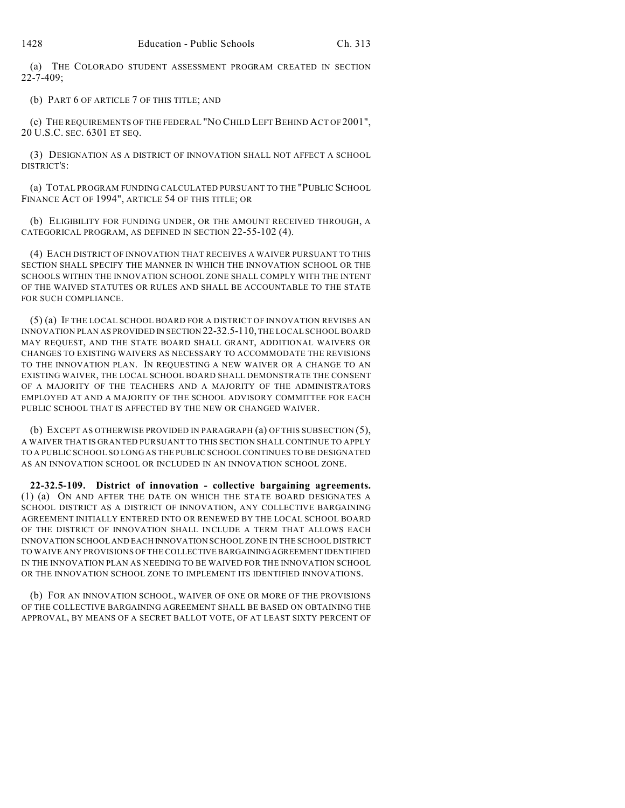(a) THE COLORADO STUDENT ASSESSMENT PROGRAM CREATED IN SECTION 22-7-409;

(b) PART 6 OF ARTICLE 7 OF THIS TITLE; AND

(c) THE REQUIREMENTS OF THE FEDERAL "NO CHILD LEFT BEHIND ACT OF 2001", 20 U.S.C. SEC. 6301 ET SEQ.

(3) DESIGNATION AS A DISTRICT OF INNOVATION SHALL NOT AFFECT A SCHOOL DISTRICT'S:

(a) TOTAL PROGRAM FUNDING CALCULATED PURSUANT TO THE "PUBLIC SCHOOL FINANCE ACT OF 1994", ARTICLE 54 OF THIS TITLE; OR

(b) ELIGIBILITY FOR FUNDING UNDER, OR THE AMOUNT RECEIVED THROUGH, A CATEGORICAL PROGRAM, AS DEFINED IN SECTION 22-55-102 (4).

(4) EACH DISTRICT OF INNOVATION THAT RECEIVES A WAIVER PURSUANT TO THIS SECTION SHALL SPECIFY THE MANNER IN WHICH THE INNOVATION SCHOOL OR THE SCHOOLS WITHIN THE INNOVATION SCHOOL ZONE SHALL COMPLY WITH THE INTENT OF THE WAIVED STATUTES OR RULES AND SHALL BE ACCOUNTABLE TO THE STATE FOR SUCH COMPLIANCE.

(5) (a) IF THE LOCAL SCHOOL BOARD FOR A DISTRICT OF INNOVATION REVISES AN INNOVATION PLAN AS PROVIDED IN SECTION 22-32.5-110, THE LOCAL SCHOOL BOARD MAY REQUEST, AND THE STATE BOARD SHALL GRANT, ADDITIONAL WAIVERS OR CHANGES TO EXISTING WAIVERS AS NECESSARY TO ACCOMMODATE THE REVISIONS TO THE INNOVATION PLAN. IN REQUESTING A NEW WAIVER OR A CHANGE TO AN EXISTING WAIVER, THE LOCAL SCHOOL BOARD SHALL DEMONSTRATE THE CONSENT OF A MAJORITY OF THE TEACHERS AND A MAJORITY OF THE ADMINISTRATORS EMPLOYED AT AND A MAJORITY OF THE SCHOOL ADVISORY COMMITTEE FOR EACH PUBLIC SCHOOL THAT IS AFFECTED BY THE NEW OR CHANGED WAIVER.

(b) EXCEPT AS OTHERWISE PROVIDED IN PARAGRAPH (a) OF THIS SUBSECTION (5), A WAIVER THAT IS GRANTED PURSUANT TO THIS SECTION SHALL CONTINUE TO APPLY TO A PUBLIC SCHOOL SO LONG AS THE PUBLIC SCHOOL CONTINUES TO BE DESIGNATED AS AN INNOVATION SCHOOL OR INCLUDED IN AN INNOVATION SCHOOL ZONE.

**22-32.5-109. District of innovation - collective bargaining agreements.** (1) (a) ON AND AFTER THE DATE ON WHICH THE STATE BOARD DESIGNATES A SCHOOL DISTRICT AS A DISTRICT OF INNOVATION, ANY COLLECTIVE BARGAINING AGREEMENT INITIALLY ENTERED INTO OR RENEWED BY THE LOCAL SCHOOL BOARD OF THE DISTRICT OF INNOVATION SHALL INCLUDE A TERM THAT ALLOWS EACH INNOVATION SCHOOL AND EACH INNOVATION SCHOOL ZONE IN THE SCHOOL DISTRICT TO WAIVE ANY PROVISIONS OF THE COLLECTIVE BARGAINING AGREEMENT IDENTIFIED IN THE INNOVATION PLAN AS NEEDING TO BE WAIVED FOR THE INNOVATION SCHOOL OR THE INNOVATION SCHOOL ZONE TO IMPLEMENT ITS IDENTIFIED INNOVATIONS.

(b) FOR AN INNOVATION SCHOOL, WAIVER OF ONE OR MORE OF THE PROVISIONS OF THE COLLECTIVE BARGAINING AGREEMENT SHALL BE BASED ON OBTAINING THE APPROVAL, BY MEANS OF A SECRET BALLOT VOTE, OF AT LEAST SIXTY PERCENT OF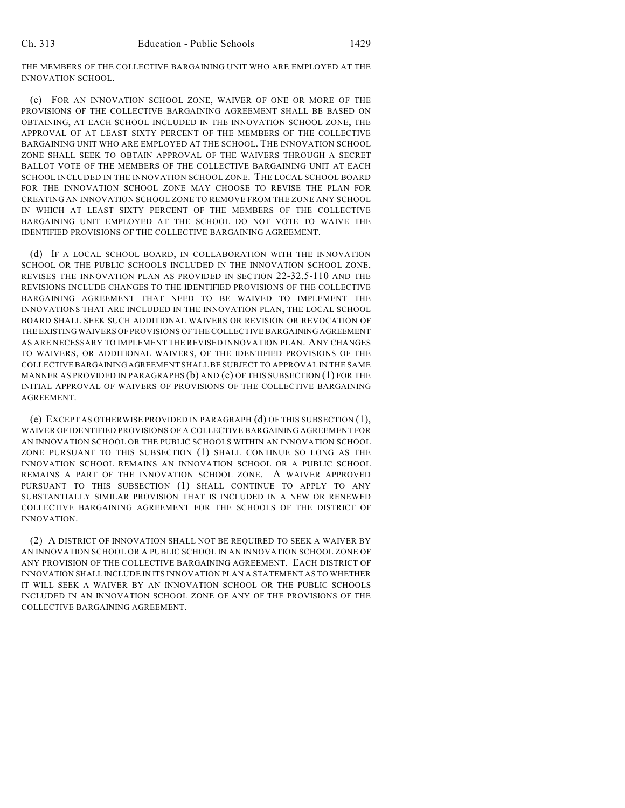THE MEMBERS OF THE COLLECTIVE BARGAINING UNIT WHO ARE EMPLOYED AT THE INNOVATION SCHOOL.

(c) FOR AN INNOVATION SCHOOL ZONE, WAIVER OF ONE OR MORE OF THE PROVISIONS OF THE COLLECTIVE BARGAINING AGREEMENT SHALL BE BASED ON OBTAINING, AT EACH SCHOOL INCLUDED IN THE INNOVATION SCHOOL ZONE, THE APPROVAL OF AT LEAST SIXTY PERCENT OF THE MEMBERS OF THE COLLECTIVE BARGAINING UNIT WHO ARE EMPLOYED AT THE SCHOOL. THE INNOVATION SCHOOL ZONE SHALL SEEK TO OBTAIN APPROVAL OF THE WAIVERS THROUGH A SECRET BALLOT VOTE OF THE MEMBERS OF THE COLLECTIVE BARGAINING UNIT AT EACH SCHOOL INCLUDED IN THE INNOVATION SCHOOL ZONE. THE LOCAL SCHOOL BOARD FOR THE INNOVATION SCHOOL ZONE MAY CHOOSE TO REVISE THE PLAN FOR CREATING AN INNOVATION SCHOOL ZONE TO REMOVE FROM THE ZONE ANY SCHOOL IN WHICH AT LEAST SIXTY PERCENT OF THE MEMBERS OF THE COLLECTIVE BARGAINING UNIT EMPLOYED AT THE SCHOOL DO NOT VOTE TO WAIVE THE IDENTIFIED PROVISIONS OF THE COLLECTIVE BARGAINING AGREEMENT.

(d) IF A LOCAL SCHOOL BOARD, IN COLLABORATION WITH THE INNOVATION SCHOOL OR THE PUBLIC SCHOOLS INCLUDED IN THE INNOVATION SCHOOL ZONE, REVISES THE INNOVATION PLAN AS PROVIDED IN SECTION 22-32.5-110 AND THE REVISIONS INCLUDE CHANGES TO THE IDENTIFIED PROVISIONS OF THE COLLECTIVE BARGAINING AGREEMENT THAT NEED TO BE WAIVED TO IMPLEMENT THE INNOVATIONS THAT ARE INCLUDED IN THE INNOVATION PLAN, THE LOCAL SCHOOL BOARD SHALL SEEK SUCH ADDITIONAL WAIVERS OR REVISION OR REVOCATION OF THE EXISTING WAIVERS OF PROVISIONS OF THE COLLECTIVE BARGAINING AGREEMENT AS ARE NECESSARY TO IMPLEMENT THE REVISED INNOVATION PLAN. ANY CHANGES TO WAIVERS, OR ADDITIONAL WAIVERS, OF THE IDENTIFIED PROVISIONS OF THE COLLECTIVE BARGAINING AGREEMENT SHALL BE SUBJECT TO APPROVAL IN THE SAME MANNER AS PROVIDED IN PARAGRAPHS  $(b)$  and  $(c)$  of this subsection  $(1)$  for the INITIAL APPROVAL OF WAIVERS OF PROVISIONS OF THE COLLECTIVE BARGAINING **AGREEMENT** 

(e) EXCEPT AS OTHERWISE PROVIDED IN PARAGRAPH (d) OF THIS SUBSECTION (1), WAIVER OF IDENTIFIED PROVISIONS OF A COLLECTIVE BARGAINING AGREEMENT FOR AN INNOVATION SCHOOL OR THE PUBLIC SCHOOLS WITHIN AN INNOVATION SCHOOL ZONE PURSUANT TO THIS SUBSECTION (1) SHALL CONTINUE SO LONG AS THE INNOVATION SCHOOL REMAINS AN INNOVATION SCHOOL OR A PUBLIC SCHOOL REMAINS A PART OF THE INNOVATION SCHOOL ZONE. A WAIVER APPROVED PURSUANT TO THIS SUBSECTION (1) SHALL CONTINUE TO APPLY TO ANY SUBSTANTIALLY SIMILAR PROVISION THAT IS INCLUDED IN A NEW OR RENEWED COLLECTIVE BARGAINING AGREEMENT FOR THE SCHOOLS OF THE DISTRICT OF INNOVATION.

(2) A DISTRICT OF INNOVATION SHALL NOT BE REQUIRED TO SEEK A WAIVER BY AN INNOVATION SCHOOL OR A PUBLIC SCHOOL IN AN INNOVATION SCHOOL ZONE OF ANY PROVISION OF THE COLLECTIVE BARGAINING AGREEMENT. EACH DISTRICT OF INNOVATION SHALL INCLUDE IN ITS INNOVATION PLAN A STATEMENT AS TO WHETHER IT WILL SEEK A WAIVER BY AN INNOVATION SCHOOL OR THE PUBLIC SCHOOLS INCLUDED IN AN INNOVATION SCHOOL ZONE OF ANY OF THE PROVISIONS OF THE COLLECTIVE BARGAINING AGREEMENT.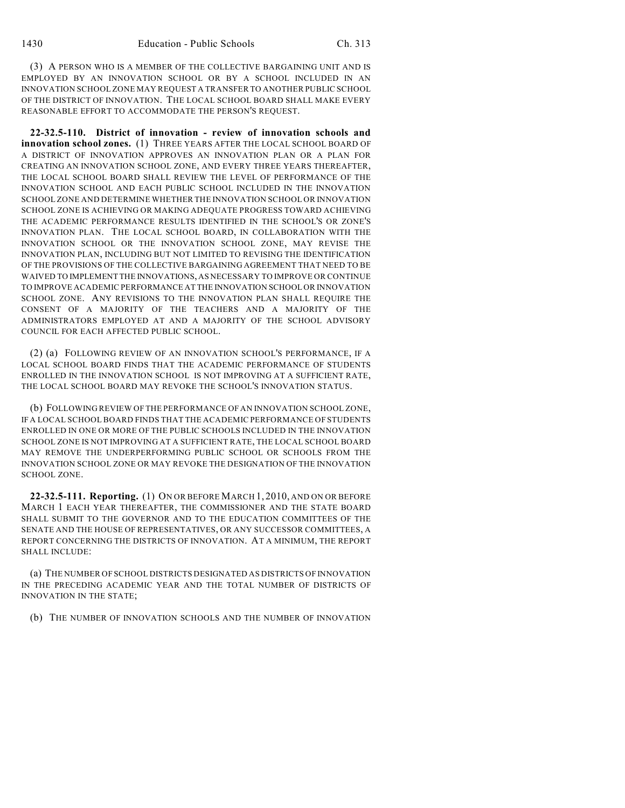(3) A PERSON WHO IS A MEMBER OF THE COLLECTIVE BARGAINING UNIT AND IS EMPLOYED BY AN INNOVATION SCHOOL OR BY A SCHOOL INCLUDED IN AN INNOVATION SCHOOL ZONE MAY REQUEST A TRANSFER TO ANOTHER PUBLIC SCHOOL OF THE DISTRICT OF INNOVATION. THE LOCAL SCHOOL BOARD SHALL MAKE EVERY REASONABLE EFFORT TO ACCOMMODATE THE PERSON'S REQUEST.

**22-32.5-110. District of innovation - review of innovation schools and innovation school zones.** (1) THREE YEARS AFTER THE LOCAL SCHOOL BOARD OF A DISTRICT OF INNOVATION APPROVES AN INNOVATION PLAN OR A PLAN FOR CREATING AN INNOVATION SCHOOL ZONE, AND EVERY THREE YEARS THEREAFTER, THE LOCAL SCHOOL BOARD SHALL REVIEW THE LEVEL OF PERFORMANCE OF THE INNOVATION SCHOOL AND EACH PUBLIC SCHOOL INCLUDED IN THE INNOVATION SCHOOL ZONE AND DETERMINE WHETHER THE INNOVATION SCHOOL OR INNOVATION SCHOOL ZONE IS ACHIEVING OR MAKING ADEQUATE PROGRESS TOWARD ACHIEVING THE ACADEMIC PERFORMANCE RESULTS IDENTIFIED IN THE SCHOOL'S OR ZONE'S INNOVATION PLAN. THE LOCAL SCHOOL BOARD, IN COLLABORATION WITH THE INNOVATION SCHOOL OR THE INNOVATION SCHOOL ZONE, MAY REVISE THE INNOVATION PLAN, INCLUDING BUT NOT LIMITED TO REVISING THE IDENTIFICATION OF THE PROVISIONS OF THE COLLECTIVE BARGAINING AGREEMENT THAT NEED TO BE WAIVED TO IMPLEMENT THE INNOVATIONS, AS NECESSARY TO IMPROVE OR CONTINUE TO IMPROVE ACADEMIC PERFORMANCE AT THE INNOVATION SCHOOL OR INNOVATION SCHOOL ZONE. ANY REVISIONS TO THE INNOVATION PLAN SHALL REQUIRE THE CONSENT OF A MAJORITY OF THE TEACHERS AND A MAJORITY OF THE ADMINISTRATORS EMPLOYED AT AND A MAJORITY OF THE SCHOOL ADVISORY COUNCIL FOR EACH AFFECTED PUBLIC SCHOOL.

(2) (a) FOLLOWING REVIEW OF AN INNOVATION SCHOOL'S PERFORMANCE, IF A LOCAL SCHOOL BOARD FINDS THAT THE ACADEMIC PERFORMANCE OF STUDENTS ENROLLED IN THE INNOVATION SCHOOL IS NOT IMPROVING AT A SUFFICIENT RATE, THE LOCAL SCHOOL BOARD MAY REVOKE THE SCHOOL'S INNOVATION STATUS.

(b) FOLLOWING REVIEW OFTHE PERFORMANCE OF AN INNOVATION SCHOOL ZONE, IF A LOCAL SCHOOL BOARD FINDS THAT THE ACADEMIC PERFORMANCE OF STUDENTS ENROLLED IN ONE OR MORE OF THE PUBLIC SCHOOLS INCLUDED IN THE INNOVATION SCHOOL ZONE IS NOT IMPROVING AT A SUFFICIENT RATE, THE LOCAL SCHOOL BOARD MAY REMOVE THE UNDERPERFORMING PUBLIC SCHOOL OR SCHOOLS FROM THE INNOVATION SCHOOL ZONE OR MAY REVOKE THE DESIGNATION OF THE INNOVATION SCHOOL ZONE.

**22-32.5-111. Reporting.** (1) ON OR BEFORE MARCH 1, 2010, AND ON OR BEFORE MARCH 1 EACH YEAR THEREAFTER, THE COMMISSIONER AND THE STATE BOARD SHALL SUBMIT TO THE GOVERNOR AND TO THE EDUCATION COMMITTEES OF THE SENATE AND THE HOUSE OF REPRESENTATIVES, OR ANY SUCCESSOR COMMITTEES, A REPORT CONCERNING THE DISTRICTS OF INNOVATION. AT A MINIMUM, THE REPORT SHALL INCLUDE:

(a) THE NUMBER OF SCHOOL DISTRICTS DESIGNATED AS DISTRICTS OF INNOVATION IN THE PRECEDING ACADEMIC YEAR AND THE TOTAL NUMBER OF DISTRICTS OF INNOVATION IN THE STATE;

(b) THE NUMBER OF INNOVATION SCHOOLS AND THE NUMBER OF INNOVATION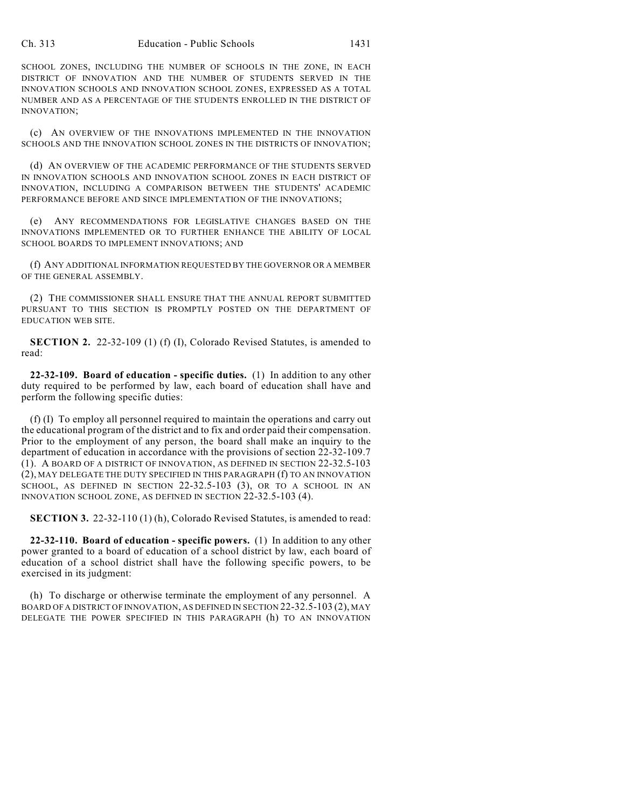SCHOOL ZONES, INCLUDING THE NUMBER OF SCHOOLS IN THE ZONE, IN EACH DISTRICT OF INNOVATION AND THE NUMBER OF STUDENTS SERVED IN THE INNOVATION SCHOOLS AND INNOVATION SCHOOL ZONES, EXPRESSED AS A TOTAL NUMBER AND AS A PERCENTAGE OF THE STUDENTS ENROLLED IN THE DISTRICT OF INNOVATION;

(c) AN OVERVIEW OF THE INNOVATIONS IMPLEMENTED IN THE INNOVATION SCHOOLS AND THE INNOVATION SCHOOL ZONES IN THE DISTRICTS OF INNOVATION;

(d) AN OVERVIEW OF THE ACADEMIC PERFORMANCE OF THE STUDENTS SERVED IN INNOVATION SCHOOLS AND INNOVATION SCHOOL ZONES IN EACH DISTRICT OF INNOVATION, INCLUDING A COMPARISON BETWEEN THE STUDENTS' ACADEMIC PERFORMANCE BEFORE AND SINCE IMPLEMENTATION OF THE INNOVATIONS;

(e) ANY RECOMMENDATIONS FOR LEGISLATIVE CHANGES BASED ON THE INNOVATIONS IMPLEMENTED OR TO FURTHER ENHANCE THE ABILITY OF LOCAL SCHOOL BOARDS TO IMPLEMENT INNOVATIONS; AND

(f) ANY ADDITIONAL INFORMATION REQUESTED BY THE GOVERNOR OR A MEMBER OF THE GENERAL ASSEMBLY.

(2) THE COMMISSIONER SHALL ENSURE THAT THE ANNUAL REPORT SUBMITTED PURSUANT TO THIS SECTION IS PROMPTLY POSTED ON THE DEPARTMENT OF EDUCATION WEB SITE.

**SECTION 2.** 22-32-109 (1) (f) (I), Colorado Revised Statutes, is amended to read:

**22-32-109. Board of education - specific duties.** (1) In addition to any other duty required to be performed by law, each board of education shall have and perform the following specific duties:

(f) (I) To employ all personnel required to maintain the operations and carry out the educational program of the district and to fix and order paid their compensation. Prior to the employment of any person, the board shall make an inquiry to the department of education in accordance with the provisions of section 22-32-109.7 (1). A BOARD OF A DISTRICT OF INNOVATION, AS DEFINED IN SECTION 22-32.5-103 (2), MAY DELEGATE THE DUTY SPECIFIED IN THIS PARAGRAPH (f) TO AN INNOVATION SCHOOL, AS DEFINED IN SECTION 22-32.5-103 (3), OR TO A SCHOOL IN AN INNOVATION SCHOOL ZONE, AS DEFINED IN SECTION 22-32.5-103 (4).

**SECTION 3.** 22-32-110 (1) (h), Colorado Revised Statutes, is amended to read:

**22-32-110. Board of education - specific powers.** (1) In addition to any other power granted to a board of education of a school district by law, each board of education of a school district shall have the following specific powers, to be exercised in its judgment:

(h) To discharge or otherwise terminate the employment of any personnel. A BOARD OF A DISTRICT OF INNOVATION, AS DEFINED IN SECTION 22-32.5-103 (2), MAY DELEGATE THE POWER SPECIFIED IN THIS PARAGRAPH (h) TO AN INNOVATION